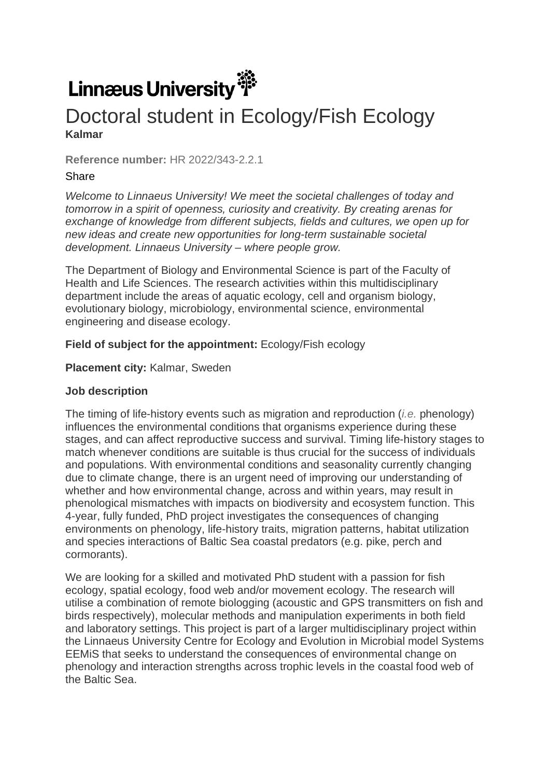# Linnæus University

# Doctoral student in Ecology/Fish Ecology **Kalmar**

**Reference number: HR 2022/343-2.2.1.** 

## **Share**

*Welcome to Linnaeus University! We meet the societal challenges of today and tomorrow in a spirit of openness, curiosity and creativity. By creating arenas for exchange of knowledge from different subjects, fields and cultures, we open up for new ideas and create new opportunities for long-term sustainable societal development. Linnaeus University – where people grow.*

The Department of Biology and Environmental Science is part of the Faculty of Health and Life Sciences. The research activities within this multidisciplinary department include the areas of aquatic ecology, cell and organism biology, evolutionary biology, microbiology, environmental science, environmental engineering and disease ecology.

#### **Field of subject for the appointment:** Ecology/Fish ecology

**Placement city:** Kalmar, Sweden

#### **Job description**

The timing of life-history events such as migration and reproduction (*i.e.* phenology) influences the environmental conditions that organisms experience during these stages, and can affect reproductive success and survival. Timing life-history stages to match whenever conditions are suitable is thus crucial for the success of individuals and populations. With environmental conditions and seasonality currently changing due to climate change, there is an urgent need of improving our understanding of whether and how environmental change, across and within years, may result in phenological mismatches with impacts on biodiversity and ecosystem function. This 4-year, fully funded, PhD project investigates the consequences of changing environments on phenology, life-history traits, migration patterns, habitat utilization and species interactions of Baltic Sea coastal predators (e.g. pike, perch and cormorants).

We are looking for a skilled and motivated PhD student with a passion for fish ecology, spatial ecology, food web and/or movement ecology. The research will utilise a combination of remote biologging (acoustic and GPS transmitters on fish and birds respectively), molecular methods and manipulation experiments in both field and laboratory settings. This project is part of a larger multidisciplinary project within the Linnaeus University Centre for Ecology and Evolution in Microbial model Systems EEMiS that seeks to understand the consequences of environmental change on phenology and interaction strengths across trophic levels in the coastal food web of the Baltic Sea.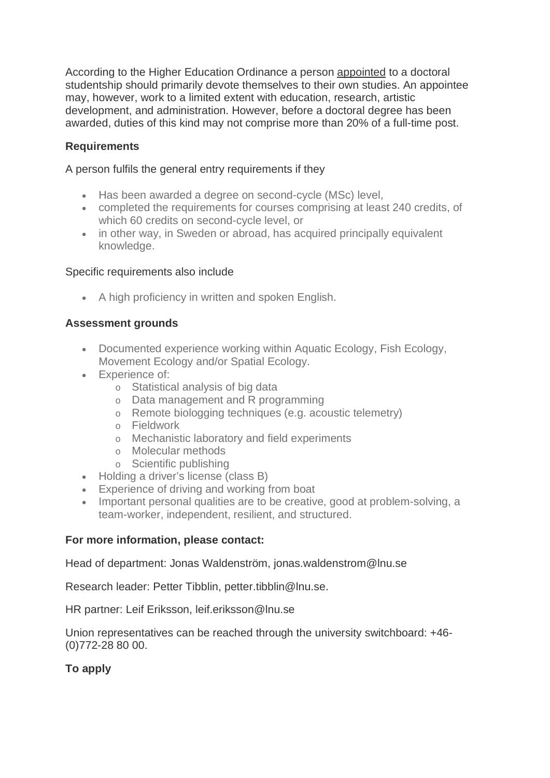According to the Higher Education Ordinance a person appointed to a doctoral studentship should primarily devote themselves to their own studies. An appointee may, however, work to a limited extent with education, research, artistic development, and administration. However, before a doctoral degree has been awarded, duties of this kind may not comprise more than 20% of a full-time post.

### **Requirements**

A person fulfils the general entry requirements if they

- Has been awarded a degree on second-cycle (MSc) level,
- completed the requirements for courses comprising at least 240 credits, of which 60 credits on second-cycle level, or
- in other way, in Sweden or abroad, has acquired principally equivalent knowledge.

#### Specific requirements also include

• A high proficiency in written and spoken English.

#### **Assessment grounds**

- Documented experience working within Aquatic Ecology, Fish Ecology, Movement Ecology and/or Spatial Ecology.
- Experience of:
	- o Statistical analysis of big data
	- o Data management and R programming
	- o Remote biologging techniques (e.g. acoustic telemetry)
	- o Fieldwork
	- o Mechanistic laboratory and field experiments
	- o Molecular methods
	- o Scientific publishing
- Holding a driver's license (class B)
- Experience of driving and working from boat
- Important personal qualities are to be creative, good at problem-solving, a team-worker, independent, resilient, and structured.

#### **For more information, please contact:**

Head of department: Jonas Waldenström, jonas.waldenstrom@lnu.se

Research leader: Petter Tibblin, petter.tibblin@lnu.se.

HR partner: Leif Eriksson, leif.eriksson@lnu.se

Union representatives can be reached through the university switchboard: +46- (0)772-28 80 00.

#### **To apply**